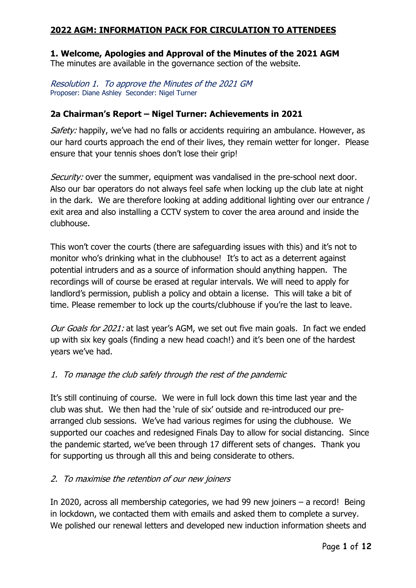## **2022 AGM: INFORMATION PACK FOR CIRCULATION TO ATTENDEES**

# **1. Welcome, Apologies and Approval of the Minutes of the 2021 AGM**

The minutes are available in the governance section of the website.

Resolution 1. To approve the Minutes of the 2021 GM Proposer: Diane Ashley Seconder: Nigel Turner

## **2a Chairman's Report – Nigel Turner: Achievements in 2021**

Safety: happily, we've had no falls or accidents requiring an ambulance. However, as our hard courts approach the end of their lives, they remain wetter for longer. Please ensure that your tennis shoes don't lose their grip!

Security: over the summer, equipment was vandalised in the pre-school next door. Also our bar operators do not always feel safe when locking up the club late at night in the dark. We are therefore looking at adding additional lighting over our entrance / exit area and also installing a CCTV system to cover the area around and inside the clubhouse.

This won't cover the courts (there are safeguarding issues with this) and it's not to monitor who's drinking what in the clubhouse! It's to act as a deterrent against potential intruders and as a source of information should anything happen. The recordings will of course be erased at regular intervals. We will need to apply for landlord's permission, publish a policy and obtain a license. This will take a bit of time. Please remember to lock up the courts/clubhouse if you're the last to leave.

Our Goals for 2021: at last year's AGM, we set out five main goals. In fact we ended up with six key goals (finding a new head coach!) and it's been one of the hardest years we've had.

## 1. To manage the club safely through the rest of the pandemic

It's still continuing of course. We were in full lock down this time last year and the club was shut. We then had the 'rule of six' outside and re-introduced our prearranged club sessions. We've had various regimes for using the clubhouse. We supported our coaches and redesigned Finals Day to allow for social distancing. Since the pandemic started, we've been through 17 different sets of changes. Thank you for supporting us through all this and being considerate to others.

### 2. To maximise the retention of our new joiners

In 2020, across all membership categories, we had 99 new joiners – a record! Being in lockdown, we contacted them with emails and asked them to complete a survey. We polished our renewal letters and developed new induction information sheets and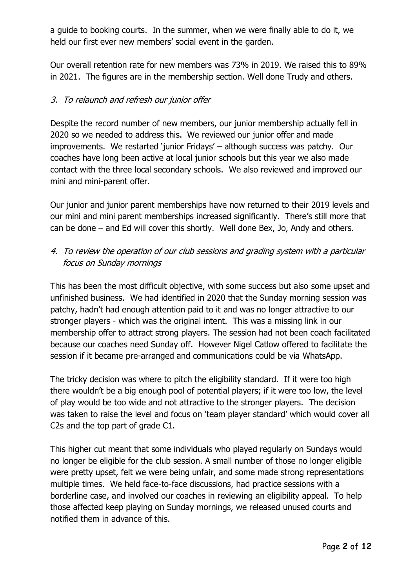a guide to booking courts. In the summer, when we were finally able to do it, we held our first ever new members' social event in the garden.

Our overall retention rate for new members was 73% in 2019. We raised this to 89% in 2021. The figures are in the membership section. Well done Trudy and others.

## 3. To relaunch and refresh our junior offer

Despite the record number of new members, our junior membership actually fell in 2020 so we needed to address this. We reviewed our junior offer and made improvements. We restarted 'junior Fridays' – although success was patchy. Our coaches have long been active at local junior schools but this year we also made contact with the three local secondary schools. We also reviewed and improved our mini and mini-parent offer.

Our junior and junior parent memberships have now returned to their 2019 levels and our mini and mini parent memberships increased significantly. There's still more that can be done – and Ed will cover this shortly. Well done Bex, Jo, Andy and others.

# 4. To review the operation of our club sessions and grading system with a particular focus on Sunday mornings

This has been the most difficult objective, with some success but also some upset and unfinished business. We had identified in 2020 that the Sunday morning session was patchy, hadn't had enough attention paid to it and was no longer attractive to our stronger players - which was the original intent. This was a missing link in our membership offer to attract strong players. The session had not been coach facilitated because our coaches need Sunday off. However Nigel Catlow offered to facilitate the session if it became pre-arranged and communications could be via WhatsApp.

The tricky decision was where to pitch the eligibility standard. If it were too high there wouldn't be a big enough pool of potential players; if it were too low, the level of play would be too wide and not attractive to the stronger players. The decision was taken to raise the level and focus on 'team player standard' which would cover all C2s and the top part of grade C1.

This higher cut meant that some individuals who played regularly on Sundays would no longer be eligible for the club session. A small number of those no longer eligible were pretty upset, felt we were being unfair, and some made strong representations multiple times. We held face-to-face discussions, had practice sessions with a borderline case, and involved our coaches in reviewing an eligibility appeal. To help those affected keep playing on Sunday mornings, we released unused courts and notified them in advance of this.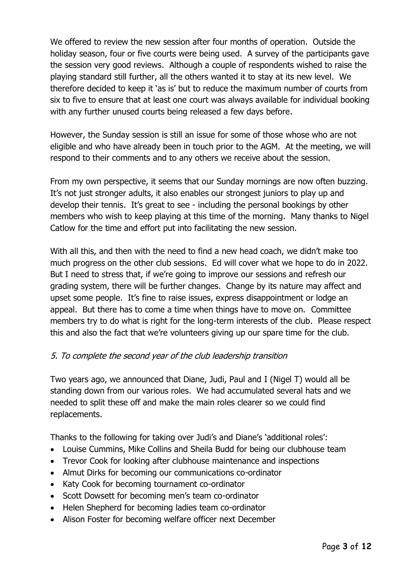We offered to review the new session after four months of operation. Outside the holiday season, four or five courts were being used. A survey of the participants gave the session very good reviews. Although a couple of respondents wished to raise the playing standard still further, all the others wanted it to stay at its new level. We therefore decided to keep it 'as is' but to reduce the maximum number of courts from six to five to ensure that at least one court was always available for individual booking with any further unused courts being released a few days before.

However, the Sunday session is still an issue for some of those whose who are not eligible and who have already been in touch prior to the AGM. At the meeting, we will respond to their comments and to any others we receive about the session.

From my own perspective, it seems that our Sunday mornings are now often buzzing. It's not just stronger adults, it also enables our strongest juniors to play up and develop their tennis. It's great to see - including the personal bookings by other members who wish to keep playing at this time of the morning. Many thanks to Nigel Catlow for the time and effort put into facilitating the new session.

With all this, and then with the need to find a new head coach, we didn't make too much progress on the other club sessions. Ed will cover what we hope to do in 2022. But I need to stress that, if we're going to improve our sessions and refresh our grading system, there will be further changes. Change by its nature may affect and upset some people. It's fine to raise issues, express disappointment or lodge an appeal. But there has to come a time when things have to move on. Committee members try to do what is right for the long-term interests of the club. Please respect this and also the fact that we're volunteers giving up our spare time for the club.

## 5. To complete the second year of the club leadership transition

Two years ago, we announced that Diane, Judi, Paul and I (Nigel T) would all be standing down from our various roles. We had accumulated several hats and we needed to split these off and make the main roles clearer so we could find replacements.

Thanks to the following for taking over Judi's and Diane's 'additional roles':

- Louise Cummins, Mike Collins and Sheila Budd for being our clubhouse team
- Trevor Cook for looking after clubhouse maintenance and inspections
- Almut Dirks for becoming our communications co-ordinator
- Katy Cook for becoming tournament co-ordinator
- Scott Dowsett for becoming men's team co-ordinator
- Helen Shepherd for becoming ladies team co-ordinator
- Alison Foster for becoming welfare officer next December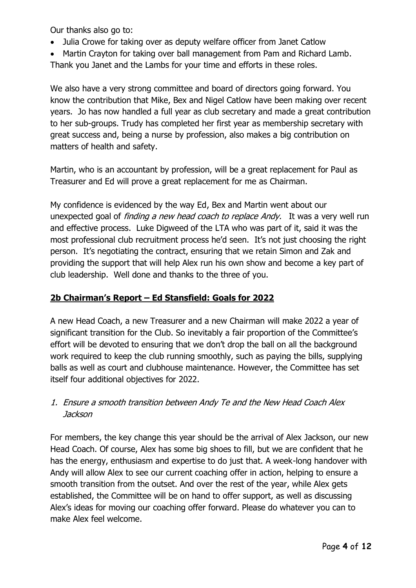Our thanks also go to:

- Julia Crowe for taking over as deputy welfare officer from Janet Catlow
- Martin Crayton for taking over ball management from Pam and Richard Lamb. Thank you Janet and the Lambs for your time and efforts in these roles.

We also have a very strong committee and board of directors going forward. You know the contribution that Mike, Bex and Nigel Catlow have been making over recent years. Jo has now handled a full year as club secretary and made a great contribution to her sub-groups. Trudy has completed her first year as membership secretary with great success and, being a nurse by profession, also makes a big contribution on matters of health and safety.

Martin, who is an accountant by profession, will be a great replacement for Paul as Treasurer and Ed will prove a great replacement for me as Chairman.

My confidence is evidenced by the way Ed, Bex and Martin went about our unexpected goal of finding a new head coach to replace Andy.It was a very well run and effective process. Luke Digweed of the LTA who was part of it, said it was the most professional club recruitment process he'd seen. It's not just choosing the right person. It's negotiating the contract, ensuring that we retain Simon and Zak and providing the support that will help Alex run his own show and become a key part of club leadership. Well done and thanks to the three of you.

# **2b Chairman's Report – Ed Stansfield: Goals for 2022**

A new Head Coach, a new Treasurer and a new Chairman will make 2022 a year of significant transition for the Club. So inevitably a fair proportion of the Committee's effort will be devoted to ensuring that we don't drop the ball on all the background work required to keep the club running smoothly, such as paying the bills, supplying balls as well as court and clubhouse maintenance. However, the Committee has set itself four additional objectives for 2022.

## 1. Ensure a smooth transition between Andy Te and the New Head Coach Alex Jackson

For members, the key change this year should be the arrival of Alex Jackson, our new Head Coach. Of course, Alex has some big shoes to fill, but we are confident that he has the energy, enthusiasm and expertise to do just that. A week-long handover with Andy will allow Alex to see our current coaching offer in action, helping to ensure a smooth transition from the outset. And over the rest of the year, while Alex gets established, the Committee will be on hand to offer support, as well as discussing Alex's ideas for moving our coaching offer forward. Please do whatever you can to make Alex feel welcome.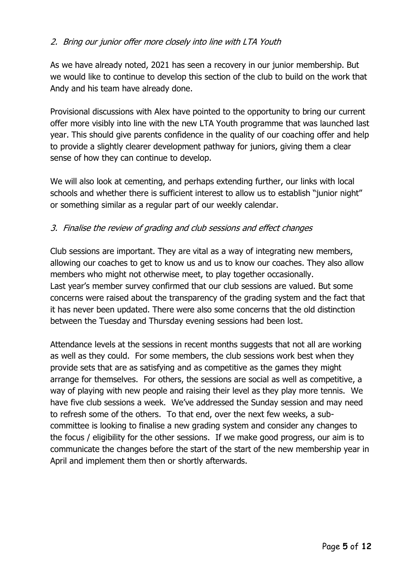## 2. Bring our junior offer more closely into line with LTA Youth

As we have already noted, 2021 has seen a recovery in our junior membership. But we would like to continue to develop this section of the club to build on the work that Andy and his team have already done.

Provisional discussions with Alex have pointed to the opportunity to bring our current offer more visibly into line with the new LTA Youth programme that was launched last year. This should give parents confidence in the quality of our coaching offer and help to provide a slightly clearer development pathway for juniors, giving them a clear sense of how they can continue to develop.

We will also look at cementing, and perhaps extending further, our links with local schools and whether there is sufficient interest to allow us to establish "junior night" or something similar as a regular part of our weekly calendar.

## 3. Finalise the review of grading and club sessions and effect changes

Club sessions are important. They are vital as a way of integrating new members, allowing our coaches to get to know us and us to know our coaches. They also allow members who might not otherwise meet, to play together occasionally. Last year's member survey confirmed that our club sessions are valued. But some concerns were raised about the transparency of the grading system and the fact that it has never been updated. There were also some concerns that the old distinction between the Tuesday and Thursday evening sessions had been lost.

Attendance levels at the sessions in recent months suggests that not all are working as well as they could. For some members, the club sessions work best when they provide sets that are as satisfying and as competitive as the games they might arrange for themselves. For others, the sessions are social as well as competitive, a way of playing with new people and raising their level as they play more tennis. We have five club sessions a week. We've addressed the Sunday session and may need to refresh some of the others. To that end, over the next few weeks, a subcommittee is looking to finalise a new grading system and consider any changes to the focus / eligibility for the other sessions. If we make good progress, our aim is to communicate the changes before the start of the start of the new membership year in April and implement them then or shortly afterwards.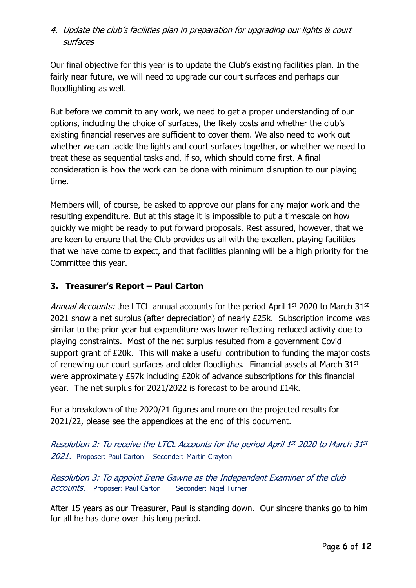# 4. Update the club's facilities plan in preparation for upgrading our lights & court surfaces

Our final objective for this year is to update the Club's existing facilities plan. In the fairly near future, we will need to upgrade our court surfaces and perhaps our floodlighting as well.

But before we commit to any work, we need to get a proper understanding of our options, including the choice of surfaces, the likely costs and whether the club's existing financial reserves are sufficient to cover them. We also need to work out whether we can tackle the lights and court surfaces together, or whether we need to treat these as sequential tasks and, if so, which should come first. A final consideration is how the work can be done with minimum disruption to our playing time.

Members will, of course, be asked to approve our plans for any major work and the resulting expenditure. But at this stage it is impossible to put a timescale on how quickly we might be ready to put forward proposals. Rest assured, however, that we are keen to ensure that the Club provides us all with the excellent playing facilities that we have come to expect, and that facilities planning will be a high priority for the Committee this year.

# **3. Treasurer's Report – Paul Carton**

Annual Accounts: the LTCL annual accounts for the period April 1<sup>st</sup> 2020 to March 31<sup>st</sup> 2021 show a net surplus (after depreciation) of nearly £25k. Subscription income was similar to the prior year but expenditure was lower reflecting reduced activity due to playing constraints. Most of the net surplus resulted from a government Covid support grant of £20k. This will make a useful contribution to funding the major costs of renewing our court surfaces and older floodlights. Financial assets at March 31<sup>st</sup> were approximately £97k including £20k of advance subscriptions for this financial year. The net surplus for 2021/2022 is forecast to be around £14k.

For a breakdown of the 2020/21 figures and more on the projected results for 2021/22, please see the appendices at the end of this document.

Resolution 2: To receive the LTCL Accounts for the period April 1st 2020 to March 31st 2021. Proposer: Paul Carton Seconder: Martin Crayton

Resolution 3: To appoint Irene Gawne as the Independent Examiner of the club accounts. Proposer: Paul Carton Seconder: Nigel Turner

After 15 years as our Treasurer, Paul is standing down. Our sincere thanks go to him for all he has done over this long period.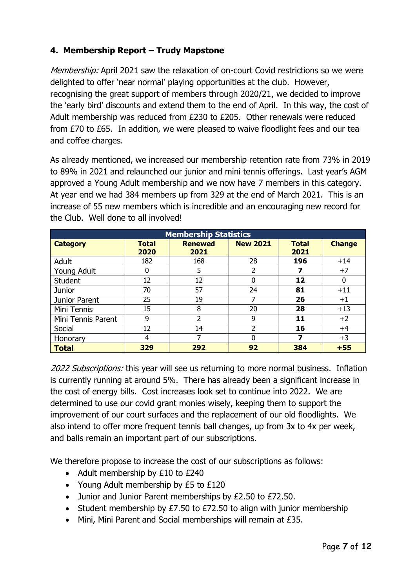# **4. Membership Report – Trudy Mapstone**

Membership: April 2021 saw the relaxation of on-court Covid restrictions so we were delighted to offer 'near normal' playing opportunities at the club. However, recognising the great support of members through 2020/21, we decided to improve the 'early bird' discounts and extend them to the end of April. In this way, the cost of Adult membership was reduced from £230 to £205. Other renewals were reduced from £70 to £65. In addition, we were pleased to waive floodlight fees and our tea and coffee charges.

As already mentioned, we increased our membership retention rate from 73% in 2019 to 89% in 2021 and relaunched our junior and mini tennis offerings. Last year's AGM approved a Young Adult membership and we now have 7 members in this category. At year end we had 384 members up from 329 at the end of March 2021. This is an increase of 55 new members which is incredible and an encouraging new record for the Club. Well done to all involved!

| <b>Membership Statistics</b> |                      |                        |                 |                      |               |  |  |
|------------------------------|----------------------|------------------------|-----------------|----------------------|---------------|--|--|
| <b>Category</b>              | <b>Total</b><br>2020 | <b>Renewed</b><br>2021 | <b>New 2021</b> | <b>Total</b><br>2021 | <b>Change</b> |  |  |
| Adult                        | 182                  | 168                    | 28              | 196                  | $+14$         |  |  |
| Young Adult                  |                      | 5                      | 2               |                      | $+7$          |  |  |
| <b>Student</b>               | 12                   | 12                     | 0               | 12                   | 0             |  |  |
| <b>Junior</b>                | 70                   | 57                     | 24              | 81                   | $+11$         |  |  |
| Junior Parent                | 25                   | 19                     |                 | 26                   | $+1$          |  |  |
| Mini Tennis                  | 15                   | 8                      | 20              | 28                   | $+13$         |  |  |
| Mini Tennis Parent           | 9                    | 2                      | 9               | 11                   | $+2$          |  |  |
| Social                       | 12                   | 14                     | 2               | 16                   | +4            |  |  |
| Honorary                     | 4                    |                        | 0               |                      | $+3$          |  |  |
| <b>Total</b>                 | 329                  | 292                    | 92              | 384                  | $+55$         |  |  |

2022 Subscriptions: this year will see us returning to more normal business. Inflation is currently running at around 5%. There has already been a significant increase in the cost of energy bills. Cost increases look set to continue into 2022. We are determined to use our covid grant monies wisely, keeping them to support the improvement of our court surfaces and the replacement of our old floodlights. We also intend to offer more frequent tennis ball changes, up from 3x to 4x per week, and balls remain an important part of our subscriptions.

We therefore propose to increase the cost of our subscriptions as follows:

- Adult membership by £10 to £240
- Young Adult membership by £5 to £120
- Junior and Junior Parent memberships by £2.50 to £72.50.
- Student membership by £7.50 to £72.50 to align with junior membership
- Mini, Mini Parent and Social memberships will remain at £35.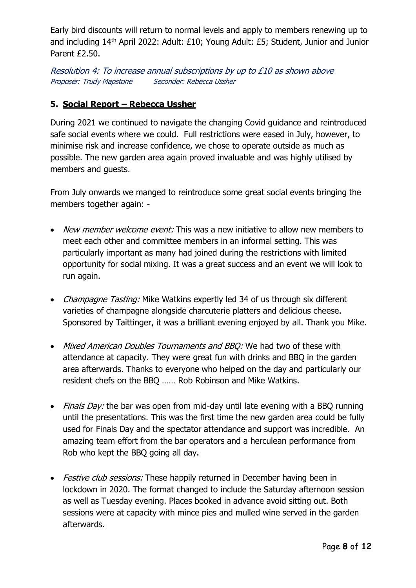Early bird discounts will return to normal levels and apply to members renewing up to and including 14th April 2022: Adult: £10; Young Adult: £5; Student, Junior and Junior Parent £2.50.

Resolution 4: To increase annual subscriptions by up to £10 as shown above Proposer: Trudy Mapstone Seconder: Rebecca Ussher

## **5. Social Report – Rebecca Ussher**

During 2021 we continued to navigate the changing Covid guidance and reintroduced safe social events where we could. Full restrictions were eased in July, however, to minimise risk and increase confidence, we chose to operate outside as much as possible. The new garden area again proved invaluable and was highly utilised by members and guests.

From July onwards we manged to reintroduce some great social events bringing the members together again: -

- New member welcome event: This was a new initiative to allow new members to meet each other and committee members in an informal setting. This was particularly important as many had joined during the restrictions with limited opportunity for social mixing. It was a great success and an event we will look to run again.
- Champagne Tasting: Mike Watkins expertly led 34 of us through six different varieties of champagne alongside charcuterie platters and delicious cheese. Sponsored by Taittinger, it was a brilliant evening enjoyed by all. Thank you Mike.
- Mixed American Doubles Tournaments and BBQ: We had two of these with attendance at capacity. They were great fun with drinks and BBQ in the garden area afterwards. Thanks to everyone who helped on the day and particularly our resident chefs on the BBQ …… Rob Robinson and Mike Watkins.
- Finals Day: the bar was open from mid-day until late evening with a BBQ running until the presentations. This was the first time the new garden area could be fully used for Finals Day and the spectator attendance and support was incredible. An amazing team effort from the bar operators and a herculean performance from Rob who kept the BBQ going all day.
- Festive club sessions: These happily returned in December having been in lockdown in 2020. The format changed to include the Saturday afternoon session as well as Tuesday evening. Places booked in advance avoid sitting out. Both sessions were at capacity with mince pies and mulled wine served in the garden afterwards.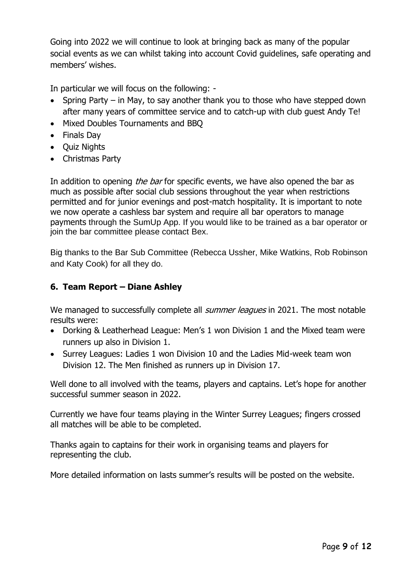Going into 2022 we will continue to look at bringing back as many of the popular social events as we can whilst taking into account Covid guidelines, safe operating and members' wishes.

In particular we will focus on the following: -

- Spring Party in May, to say another thank you to those who have stepped down after many years of committee service and to catch-up with club guest Andy Te!
- Mixed Doubles Tournaments and BBQ
- Finals Day
- Quiz Nights
- Christmas Party

In addition to opening *the bar* for specific events, we have also opened the bar as much as possible after social club sessions throughout the year when restrictions permitted and for junior evenings and post-match hospitality. It is important to note we now operate a cashless bar system and require all bar operators to manage payments through the SumUp App. If you would like to be trained as a bar operator or join the bar committee please contact Bex.

Big thanks to the Bar Sub Committee (Rebecca Ussher, Mike Watkins, Rob Robinson and Katy Cook) for all they do.

### **6. Team Report – Diane Ashley**

We managed to successfully complete all *summer leagues* in 2021. The most notable results were:

- Dorking & Leatherhead League: Men's 1 won Division 1 and the Mixed team were runners up also in Division 1.
- Surrey Leagues: Ladies 1 won Division 10 and the Ladies Mid-week team won Division 12. The Men finished as runners up in Division 17.

Well done to all involved with the teams, players and captains. Let's hope for another successful summer season in 2022.

Currently we have four teams playing in the Winter Surrey Leagues; fingers crossed all matches will be able to be completed.

Thanks again to captains for their work in organising teams and players for representing the club.

More detailed information on lasts summer's results will be posted on the website.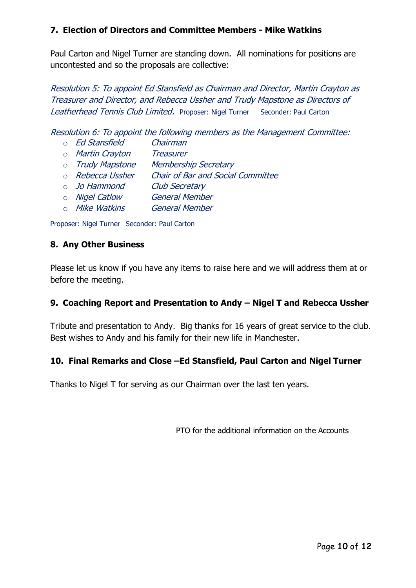### **7. Election of Directors and Committee Members - Mike Watkins**

Paul Carton and Nigel Turner are standing down. All nominations for positions are uncontested and so the proposals are collective:

Resolution 5: To appoint Ed Stansfield as Chairman and Director, Martin Crayton as Treasurer and Director, and Rebecca Ussher and Trudy Mapstone as Directors of Leatherhead Tennis Club Limited. Proposer: Nigel Turner Seconder: Paul Carton

Resolution 6: To appoint the following members as the Management Committee:

- o Ed Stansfield Chairman
- o Martin Crayton Treasurer
- o Trudy Mapstone Membership Secretary
- o Rebecca Ussher Chair of Bar and Social Committee
- o Jo Hammond Club Secretary
- o Nigel Catlow General Member
- o Mike Watkins General Member

Proposer: Nigel Turner Seconder: Paul Carton

### **8. Any Other Business**

Please let us know if you have any items to raise here and we will address them at or before the meeting.

### **9. Coaching Report and Presentation to Andy – Nigel T and Rebecca Ussher**

Tribute and presentation to Andy. Big thanks for 16 years of great service to the club. Best wishes to Andy and his family for their new life in Manchester.

### **10. Final Remarks and Close –Ed Stansfield, Paul Carton and Nigel Turner**

Thanks to Nigel T for serving as our Chairman over the last ten years.

PTO for the additional information on the Accounts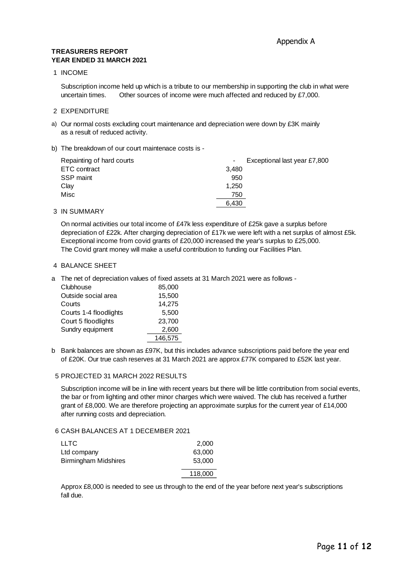#### **TREASURERS REPORT YEAR ENDED 31 MARCH 2021**

#### 1 INCOME

Subscription income held up which is a tribute to our membership in supporting the club in what were uncertain times. Other sources of income were much affected and reduced by £7,000.

#### 2 EXPENDITURE

a) Our normal costs excluding court maintenance and depreciation were down by £3K mainly as a result of reduced activity.

#### b) The breakdown of our court maintenace costs is -

| Repainting of hard courts |       | Exceptional last year £7,800 |
|---------------------------|-------|------------------------------|
| ETC contract              | 3,480 |                              |
| SSP maint                 | 950   |                              |
| Clay                      | 1.250 |                              |
| Misc                      | 750   |                              |
|                           | 6.430 |                              |

#### 3 IN SUMMARY

On normal activities our total income of £47k less expenditure of £25k gave a surplus before depreciation of £22k. After charging depreciation of £17k we were left with a net surplus of almost £5k. Exceptional income from covid grants of £20,000 increased the year's surplus to £25,000. The Covid grant money will make a useful contribution to funding our Facilities Plan.

#### 4 BALANCE SHEET

a The net of depreciation values of fixed assets at 31 March 2021 were as follows -

| Clubhouse              | 85,000  |
|------------------------|---------|
| Outside social area    | 15,500  |
| Courts                 | 14,275  |
| Courts 1-4 floodlights | 5,500   |
| Court 5 floodlights    | 23,700  |
| Sundry equipment       | 2,600   |
|                        | 146,575 |

b Bank balances are shown as £97K, but this includes advance subscriptions paid before the year end of £20K. Our true cash reserves at 31 March 2021 are approx £77K compared to £52K last year.

#### 5 PROJECTED 31 MARCH 2022 RESULTS

Subscription income will be in line with recent years but there will be little contribution from social events, the bar or from lighting and other minor charges which were waived. The club has received a further grant of £8,000. We are therefore projecting an approximate surplus for the current year of £14,000 after running costs and depreciation.

### 6 CASH BALANCES AT 1 DECEMBER 2021

| <b>LLTC</b>          | 2.000   |
|----------------------|---------|
| Ltd company          | 63,000  |
| Birmingham Midshires | 53,000  |
|                      | 118,000 |

Approx £8,000 is needed to see us through to the end of the year before next year's subscriptions fall due.